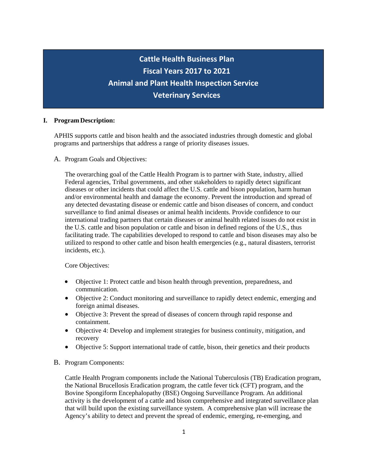# **Cattle Health Business Cattle Health Business Plan Plan Fiscal Years 2015 to Fiscal Years 2017 to 2021 2019 Animal and Plant Health Inspection Service Animal and Plant Health Inspection Service Veterinary Services**

## **I. Program Description:**

APHIS supports cattle and bison health and the associated industries through domestic and global programs and partnerships that address a range of priority diseases issues.

**Veterinary Services**

A. Program Goals and Objectives:

The overarching goal of the Cattle Health Program is to partner with State, industry, allied Federal agencies, Tribal governments, and other stakeholders to rapidly detect significant diseases or other incidents that could affect the U.S. cattle and bison population, harm human and/or environmental health and damage the economy. Prevent the introduction and spread of any detected devastating disease or endemic cattle and bison diseases of concern, and conduct surveillance to find animal diseases or animal health incidents. Provide confidence to our international trading partners that certain diseases or animal health related issues do not exist in the U.S. cattle and bison population or cattle and bison in defined regions of the U.S., thus facilitating trade. The capabilities developed to respond to cattle and bison diseases may also be utilized to respond to other cattle and bison health emergencies (e.g., natural disasters, terrorist incidents, etc.).

Core Objectives:

- Objective 1: Protect cattle and bison health through prevention, preparedness, and communication.
- Objective 2: Conduct monitoring and surveillance to rapidly detect endemic, emerging and foreign animal diseases.
- Objective 3: Prevent the spread of diseases of concern through rapid response and containment.
- Objective 4: Develop and implement strategies for business continuity, mitigation, and recovery
- Objective 5: Support international trade of cattle, bison, their genetics and their products
- B. Program Components:

Cattle Health Program components include the National Tuberculosis (TB) Eradication program, the National Brucellosis Eradication program, the cattle fever tick (CFT) program, and the Bovine Spongiform Encephalopathy (BSE) Ongoing Surveillance Program. An additional activity is the development of a cattle and bison comprehensive and integrated surveillance plan that will build upon the existing surveillance system. A comprehensive plan will increase the Agency's ability to detect and prevent the spread of endemic, emerging, re-emerging, and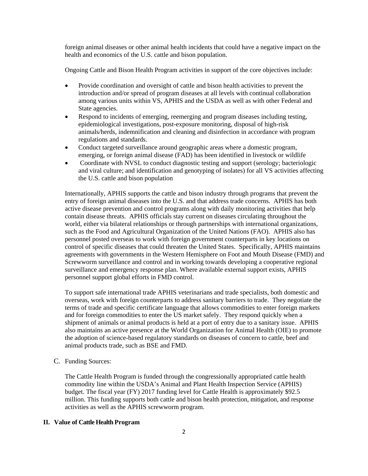foreign animal diseases or other animal health incidents that could have a negative impact on the health and economics of the U.S. cattle and bison population.

Ongoing Cattle and Bison Health Program activities in support of the core objectives include:

- Provide coordination and oversight of cattle and bison health activities to prevent the introduction and/or spread of program diseases at all levels with continual collaboration among various units within VS, APHIS and the USDA as well as with other Federal and State agencies.
- Respond to incidents of emerging, reemerging and program diseases including testing, epidemiological investigations, post-exposure monitoring, disposal of high-risk animals/herds, indemnification and cleaning and disinfection in accordance with program regulations and standards.
- Conduct targeted surveillance around geographic areas where a domestic program, emerging, or foreign animal disease (FAD) has been identified in livestock or wildlife
- Coordinate with NVSL to conduct diagnostic testing and support (serology; bacteriologic and viral culture; and identification and genotyping of isolates) for all VS activities affecting the U.S. cattle and bison population

Internationally, APHIS supports the cattle and bison industry through programs that prevent the entry of foreign animal diseases into the U.S. and that address trade concerns. APHIS has both active disease prevention and control programs along with daily monitoring activities that help contain disease threats. APHIS officials stay current on diseases circulating throughout the world, either via bilateral relationships or through partnerships with international organizations, such as the Food and Agricultural Organization of the United Nations (FAO). APHIS also has personnel posted overseas to work with foreign government counterparts in key locations on control of specific diseases that could threaten the United States. Specifically, APHIS maintains agreements with governments in the Western Hemisphere on Foot and Mouth Disease (FMD) and Screwworm surveillance and control and in working towards developing a cooperative regional surveillance and emergency response plan. Where available external support exists, APHIS personnel support global efforts in FMD control.

To support safe international trade APHIS veterinarians and trade specialists, both domestic and overseas, work with foreign counterparts to address sanitary barriers to trade. They negotiate the terms of trade and specific certificate language that allows commodities to enter foreign markets and for foreign commodities to enter the US market safely. They respond quickly when a shipment of animals or animal products is held at a port of entry due to a sanitary issue. APHIS also maintains an active presence at the World Organization for Animal Health (OIE) to promote the adoption of science-based regulatory standards on diseases of concern to cattle, beef and animal products trade, such as BSE and FMD.

C. Funding Sources:

The Cattle Health Program is funded through the congressionally appropriated cattle health commodity line within the USDA's Animal and Plant Health Inspection Service (APHIS) budget. The fiscal year (FY) 2017 funding level for Cattle Health is approximately \$92.5 million. This funding supports both cattle and bison health protection, mitigation, and response activities as well as the APHIS screwworm program.

#### **II. Value of Cattle Health Program**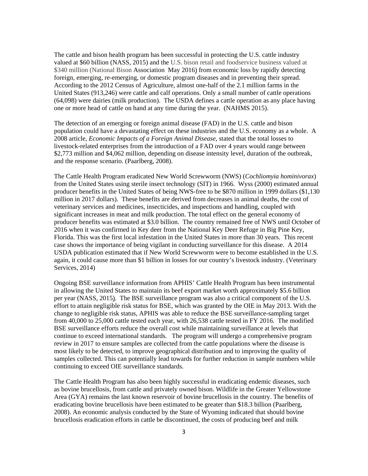The cattle and bison health program has been successful in protecting the U.S. cattle industry valued at \$60 billion (NASS, 2015) and the U.S. bison retail and foodservice business valued at \$340 million (National Bison Association May 2016) from economic loss by rapidly detecting foreign, emerging, re-emerging, or domestic program diseases and in preventing their spread. According to the 2012 Census of Agriculture, almost one-half of the 2.1 million farms in the United States (913,246) were cattle and calf operations. Only a small number of cattle operations (64,098) were dairies (milk production). The USDA defines a cattle operation as any place having one or more head of cattle on hand at any time during the year. (NAHMS 2015).

The detection of an emerging or foreign animal disease (FAD) in the U.S. cattle and bison population could have a devastating effect on these industries and the U.S. economy as a whole. A 2008 article, *Economic Impacts of a Foreign Animal Disease*, stated that the total losses to livestock-related enterprises from the introduction of a FAD over 4 years would range between \$2,773 million and \$4,062 million, depending on disease intensity level, duration of the outbreak, and the response scenario. (Paarlberg, 2008).

The Cattle Health Program eradicated New World Screwworm (NWS) (*Cochliomyia hominivorax*) from the United States using sterile insect technology (SIT) in 1966. Wyss (2000) estimated annual producer benefits in the United States of being NWS-free to be \$870 million in 1999 dollars (\$1,130 million in 2017 dollars). These benefits are derived from decreases in animal deaths, the cost of veterinary services and medicines, insecticides, and inspections and handling, coupled with significant increases in meat and milk production. The total effect on the general economy of producer benefits was estimated at \$3.0 billion. The country remained free of NWS until October of 2016 when it was confirmed in Key deer from the National Key Deer Refuge in Big Pine Key, Florida. This was the first local infestation in the United States in more than 30 years. This recent case shows the importance of being vigilant in conducting surveillance for this disease. A 2014 USDA publication estimated that if New World Screwworm were to become established in the U.S. again, it could cause more than \$1 billion in losses for our country's livestock industry. (Veterinary Services, 2014)

Ongoing BSE surveillance information from APHIS' Cattle Health Program has been instrumental in allowing the United States to maintain its beef export market worth approximately \$5.6 billion per year (NASS, 2015). The BSE surveillance program was also a critical component of the U.S. effort to attain negligible risk status for BSE, which was granted by the OIE in May 2013. With the change to negligible risk status, APHIS was able to reduce the BSE surveillance-sampling target from 40,000 to 25,000 cattle tested each year, with 26,538 cattle tested in FY 2016. The modified BSE surveillance efforts reduce the overall cost while maintaining surveillance at levels that continue to exceed international standards. The program will undergo a comprehensive program review in 2017 to ensure samples are collected from the cattle populations where the disease is most likely to be detected, to improve geographical distribution and to improving the quality of samples collected. This can potentially lead towards for further reduction in sample numbers while continuing to exceed OIE surveillance standards.

The Cattle Health Program has also been highly successful in eradicating endemic diseases, such as bovine brucellosis, from cattle and privately owned bison. Wildlife in the Greater Yellowstone Area (GYA) remains the last known reservoir of bovine brucellosis in the country. The benefits of eradicating bovine brucellosis have been estimated to be greater than \$18.3 billion (Paarlberg, 2008). An economic analysis conducted by the State of Wyoming indicated that should bovine brucellosis eradication efforts in cattle be discontinued, the costs of producing beef and milk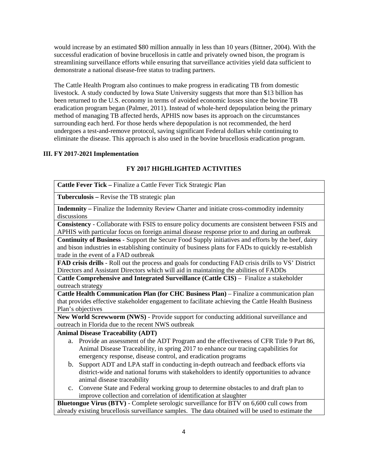would increase by an estimated \$80 million annually in less than 10 years (Bittner, 2004). With the successful eradication of bovine brucellosis in cattle and privately owned bison, the program is streamlining surveillance efforts while ensuring that surveillance activities yield data sufficient to demonstrate a national disease-free status to trading partners.

The Cattle Health Program also continues to make progress in eradicating TB from domestic livestock. A study conducted by Iowa State University suggests that more than \$13 billion has been returned to the U.S. economy in terms of avoided economic losses since the bovine TB eradication program began (Palmer, 2011). Instead of whole-herd depopulation being the primary method of managing TB affected herds, APHIS now bases its approach on the circumstances surrounding each herd. For those herds where depopulation is not recommended, the herd undergoes a test-and-remove protocol, saving significant Federal dollars while continuing to eliminate the disease. This approach is also used in the bovine brucellosis eradication program.

#### **III. FY 2017-2021 Implementation**

# **FY 2017 HIGHLIGHTED ACTIVITIES**

**Cattle Fever Tick –** Finalize a Cattle Fever Tick Strategic Plan

**Tuberculosis –** Revise the TB strategic plan

**Indemnity –** Finalize the Indemnity Review Charter and initiate cross-commodity indemnity discussions

**Consistency** - Collaborate with FSIS to ensure policy documents are consistent between FSIS and APHIS with particular focus on foreign animal disease response prior to and during an outbreak

**Continuity of Business** - Support the Secure Food Supply initiatives and efforts by the beef, dairy and bison industries in establishing continuity of business plans for FADs to quickly re-establish trade in the event of a FAD outbreak

**FAD crisis drills** - Roll out the process and goals for conducting FAD crisis drills to VS' District Directors and Assistant Directors which will aid in maintaining the abilities of FADDs

**Cattle Comprehensive and Integrated Surveillance (Cattle CIS)** – Finalize a stakeholder outreach strategy

**Cattle Health Communication Plan (for CHC Business Plan)** – Finalize a communication plan that provides effective stakeholder engagement to facilitate achieving the Cattle Health Business Plan's objectives

**New World Screwworm (NWS)** - Provide support for conducting additional surveillance and outreach in Florida due to the recent NWS outbreak

## **Animal Disease Traceability (ADT)**

- a. Provide an assessment of the ADT Program and the effectiveness of CFR Title 9 Part 86, Animal Disease Traceability, in spring 2017 to enhance our tracing capabilities for emergency response, disease control, and eradication programs
- b. Support ADT and LPA staff in conducting in-depth outreach and feedback efforts via district-wide and national forums with stakeholders to identify opportunities to advance animal disease traceability
- c. Convene State and Federal working group to determine obstacles to and draft plan to improve collection and correlation of identification at slaughter

**Bluetongue Virus (BTV)** - Complete serologic surveillance for BTV on 6,600 cull cows from already existing brucellosis surveillance samples. The data obtained will be used to estimate the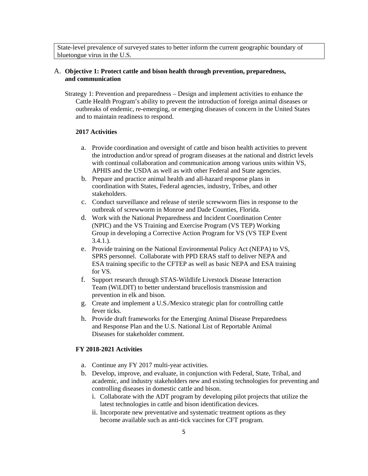State-level prevalence of surveyed states to better inform the current geographic boundary of bluetongue virus in the U.S.

#### A. **Objective 1: Protect cattle and bison health through prevention, preparedness, and communication**

Strategy 1: Prevention and preparedness – Design and implement activities to enhance the Cattle Health Program's ability to prevent the introduction of foreign animal diseases or outbreaks of endemic, re-emerging, or emerging diseases of concern in the United States and to maintain readiness to respond.

# **2017 Activities**

- a. Provide coordination and oversight of cattle and bison health activities to prevent the introduction and/or spread of program diseases at the national and district levels with continual collaboration and communication among various units within VS, APHIS and the USDA as well as with other Federal and State agencies.
- b. Prepare and practice animal health and all-hazard response plans in coordination with States, Federal agencies, industry, Tribes, and other stakeholders.
- c. Conduct surveillance and release of sterile screwworm flies in response to the outbreak of screwworm in Monroe and Dade Counties, Florida.
- d. Work with the National Preparedness and Incident Coordination Center (NPIC) and the VS Training and Exercise Program (VS TEP) Working Group in developing a Corrective Action Program for VS (VS TEP Event 3.4.1.).
- e. Provide training on the National Environmental Policy Act (NEPA) to VS, SPRS personnel. Collaborate with PPD ERAS staff to deliver NEPA and ESA training specific to the CFTEP as well as basic NEPA and ESA training for VS.
- f. Support research through STAS-Wildlife Livestock Disease Interaction Team (WiLDIT) to better understand brucellosis transmission and prevention in elk and bison.
- g. Create and implement a U.S./Mexico strategic plan for controlling cattle fever ticks.
- h. Provide draft frameworks for the Emerging Animal Disease Preparedness and Response Plan and the U.S. National List of Reportable Animal Diseases for stakeholder comment.

#### **FY 2018-2021 Activities**

- a. Continue any FY 2017 multi-year activities.
- b. Develop, improve, and evaluate, in conjunction with Federal, State, Tribal, and academic, and industry stakeholders new and existing technologies for preventing and controlling diseases in domestic cattle and bison.
	- i. Collaborate with the ADT program by developing pilot projects that utilize the latest technologies in cattle and bison identification devices.
	- ii. Incorporate new preventative and systematic treatment options as they become available such as anti-tick vaccines for CFT program.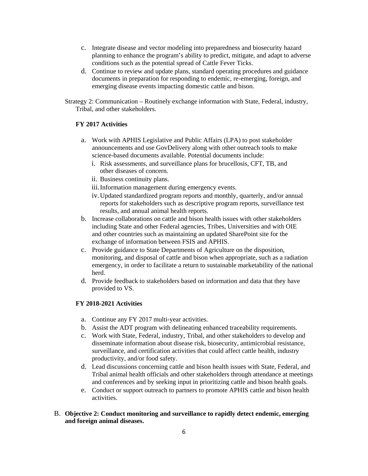- c. Integrate disease and vector modeling into preparedness and biosecurity hazard planning to enhance the program's ability to predict, mitigate, and adapt to adverse conditions such as the potential spread of Cattle Fever Ticks.
- d. Continue to review and update plans, standard operating procedures and guidance documents in preparation for responding to endemic, re-emerging, foreign, and emerging disease events impacting domestic cattle and bison.

Strategy 2: Communication – Routinely exchange information with State, Federal, industry, Tribal, and other stakeholders.

# **FY 2017 Activities**

- a. Work with APHIS Legislative and Public Affairs (LPA) to post stakeholder announcements and use GovDelivery along with other outreach tools to make science-based documents available. Potential documents include:
	- i. Risk assessments, and surveillance plans for brucellosis, CFT, TB, and other diseases of concern.
	- ii. Business continuity plans.
	- iii.Information management during emergency events.
	- iv.Updated standardized program reports and monthly, quarterly, and/or annual reports for stakeholders such as descriptive program reports, surveillance test results, and annual animal health reports.
- b. Increase collaborations on cattle and bison health issues with other stakeholders including State and other Federal agencies, Tribes, Universities and with OIE and other countries such as maintaining an updated SharePoint site for the exchange of information between FSIS and APHIS.
- c. Provide guidance to State Departments of Agriculture on the disposition, monitoring, and disposal of cattle and bison when appropriate, such as a radiation emergency, in order to facilitate a return to sustainable marketability of the national herd.
- d. Provide feedback to stakeholders based on information and data that they have provided to VS.

## **FY 2018-2021 Activities**

- a. Continue any FY 2017 multi-year activities.
- b. Assist the ADT program with delineating enhanced traceability requirements.
- c. Work with State, Federal, industry, Tribal, and other stakeholders to develop and disseminate information about disease risk, biosecurity, antimicrobial resistance, surveillance, and certification activities that could affect cattle health, industry productivity, and/or food safety.
- d. Lead discussions concerning cattle and bison health issues with State, Federal, and Tribal animal health officials and other stakeholders through attendance at meetings and conferences and by seeking input in prioritizing cattle and bison health goals.
- e. Conduct or support outreach to partners to promote APHIS cattle and bison health activities.

# B. **Objective 2: Conduct monitoring and surveillance to rapidly detect endemic, emerging and foreign animal diseases.**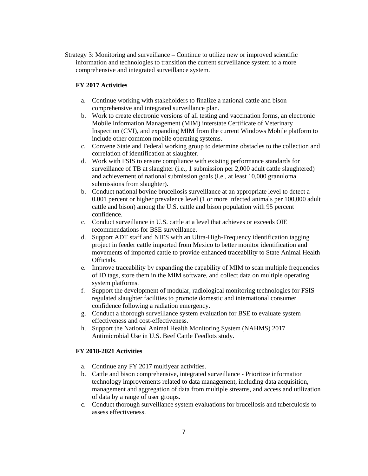Strategy 3: Monitoring and surveillance – Continue to utilize new or improved scientific information and technologies to transition the current surveillance system to a more comprehensive and integrated surveillance system.

#### **FY 2017 Activities**

- a. Continue working with stakeholders to finalize a national cattle and bison comprehensive and integrated surveillance plan.
- b. Work to create electronic versions of all testing and vaccination forms, an electronic Mobile Information Management (MIM) interstate Certificate of Veterinary Inspection (CVI), and expanding MIM from the current Windows Mobile platform to include other common mobile operating systems.
- c. Convene State and Federal working group to determine obstacles to the collection and correlation of identification at slaughter.
- d. Work with FSIS to ensure compliance with existing performance standards for surveillance of TB at slaughter (i.e., 1 submission per 2,000 adult cattle slaughtered) and achievement of national submission goals (i.e., at least 10,000 granuloma submissions from slaughter).
- b. Conduct national bovine brucellosis surveillance at an appropriate level to detect a 0.001 percent or higher prevalence level (1 or more infected animals per 100,000 adult cattle and bison) among the U.S. cattle and bison population with 95 percent confidence.
- c. Conduct surveillance in U.S. cattle at a level that achieves or exceeds OIE recommendations for BSE surveillance.
- d. Support ADT staff and NIES with an Ultra-High-Frequency identification tagging project in feeder cattle imported from Mexico to better monitor identification and movements of imported cattle to provide enhanced traceability to State Animal Health Officials.
- e. Improve traceability by expanding the capability of MIM to scan multiple frequencies of ID tags, store them in the MIM software, and collect data on multiple operating system platforms.
- f. Support the development of modular, radiological monitoring technologies for FSIS regulated slaughter facilities to promote domestic and international consumer confidence following a radiation emergency.
- g. Conduct a thorough surveillance system evaluation for BSE to evaluate system effectiveness and cost-effectiveness.
- h. Support the National Animal Health Monitoring System (NAHMS) 2017 Antimicrobial Use in U.S. Beef Cattle Feedlots study.

### **FY 2018-2021 Activities**

- a. Continue any FY 2017 multiyear activities.
- b. Cattle and bison comprehensive, integrated surveillance Prioritize information technology improvements related to data management, including data acquisition, management and aggregation of data from multiple streams, and access and utilization of data by a range of user groups.
- c. Conduct thorough surveillance system evaluations for brucellosis and tuberculosis to assess effectiveness.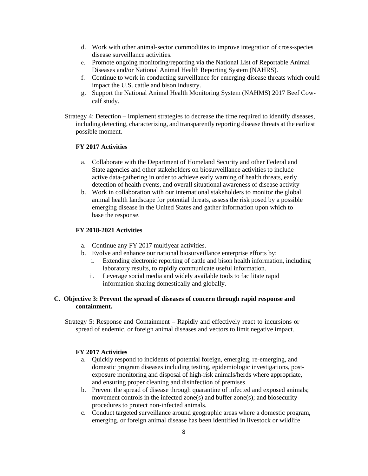- d. Work with other animal-sector commodities to improve integration of cross-species disease surveillance activities.
- e. Promote ongoing monitoring/reporting via the National List of Reportable Animal Diseases and/or National Animal Health Reporting System (NAHRS).
- f. Continue to work in conducting surveillance for emerging disease threats which could impact the U.S. cattle and bison industry.
- g. Support the National Animal Health Monitoring System (NAHMS) 2017 Beef Cowcalf study.
- Strategy 4: Detection Implement strategies to decrease the time required to identify diseases, including detecting, characterizing, and transparently reporting disease threats at the earliest possible moment.

# **FY 2017 Activities**

- a. Collaborate with the Department of Homeland Security and other Federal and State agencies and other stakeholders on biosurveillance activities to include active data-gathering in order to achieve early warning of health threats, early detection of health events, and overall situational awareness of disease activity
- b. Work in collaboration with our international stakeholders to monitor the global animal health landscape for potential threats, assess the risk posed by a possible emerging disease in the United States and gather information upon which to base the response.

#### **FY 2018-2021 Activities**

- a. Continue any FY 2017 multiyear activities.
- b. Evolve and enhance our national biosurveillance enterprise efforts by:
	- i. Extending electronic reporting of cattle and bison health information, including laboratory results, to rapidly communicate useful information.
	- ii. Leverage social media and widely available tools to facilitate rapid information sharing domestically and globally.

# **C. Objective 3: Prevent the spread of diseases of concern through rapid response and containment.**

Strategy 5: Response and Containment – Rapidly and effectively react to incursions or spread of endemic, or foreign animal diseases and vectors to limit negative impact.

#### **FY 2017 Activities**

- a. Quickly respond to incidents of potential foreign, emerging, re-emerging, and domestic program diseases including testing, epidemiologic investigations, postexposure monitoring and disposal of high-risk animals/herds where appropriate, and ensuring proper cleaning and disinfection of premises.
- b. Prevent the spread of disease through quarantine of infected and exposed animals; movement controls in the infected zone(s) and buffer zone(s); and biosecurity procedures to protect non-infected animals.
- c. Conduct targeted surveillance around geographic areas where a domestic program, emerging, or foreign animal disease has been identified in livestock or wildlife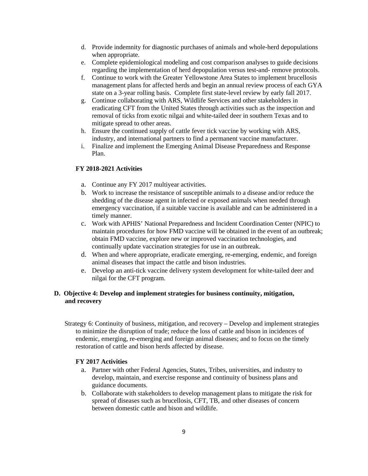- d. Provide indemnity for diagnostic purchases of animals and whole-herd depopulations when appropriate.
- e. Complete epidemiological modeling and cost comparison analyses to guide decisions regarding the implementation of herd depopulation versus test-and- remove protocols.
- f. Continue to work with the Greater Yellowstone Area States to implement brucellosis management plans for affected herds and begin an annual review process of each GYA state on a 3-year rolling basis. Complete first state-level review by early fall 2017.
- g. Continue collaborating with ARS, Wildlife Services and other stakeholders in eradicating CFT from the United States through activities such as the inspection and removal of ticks from exotic nilgai and white-tailed deer in southern Texas and to mitigate spread to other areas.
- h. Ensure the continued supply of cattle fever tick vaccine by working with ARS, industry, and international partners to find a permanent vaccine manufacturer.
- i. Finalize and implement the Emerging Animal Disease Preparedness and Response Plan.

# **FY 2018-2021 Activities**

- a. Continue any FY 2017 multiyear activities.
- b. Work to increase the resistance of susceptible animals to a disease and/or reduce the shedding of the disease agent in infected or exposed animals when needed through emergency vaccination, if a suitable vaccine is available and can be administered in a timely manner.
- c. Work with APHIS' National Preparedness and Incident Coordination Center (NPIC) to maintain procedures for how FMD vaccine will be obtained in the event of an outbreak; obtain FMD vaccine, explore new or improved vaccination technologies, and continually update vaccination strategies for use in an outbreak.
- d. When and where appropriate, eradicate emerging, re-emerging, endemic, and foreign animal diseases that impact the cattle and bison industries.
- e. Develop an anti-tick vaccine delivery system development for white-tailed deer and nilgai for the CFT program.

## **D. Objective 4: Develop and implement strategies for business continuity, mitigation, and recovery**

Strategy 6: Continuity of business, mitigation, and recovery – Develop and implement strategies to minimize the disruption of trade; reduce the loss of cattle and bison in incidences of endemic, emerging, re-emerging and foreign animal diseases; and to focus on the timely restoration of cattle and bison herds affected by disease.

#### **FY 2017 Activities**

- a. Partner with other Federal Agencies, States, Tribes, universities, and industry to develop, maintain, and exercise response and continuity of business plans and guidance documents.
- b. Collaborate with stakeholders to develop management plans to mitigate the risk for spread of diseases such as brucellosis, CFT, TB, and other diseases of concern between domestic cattle and bison and wildlife.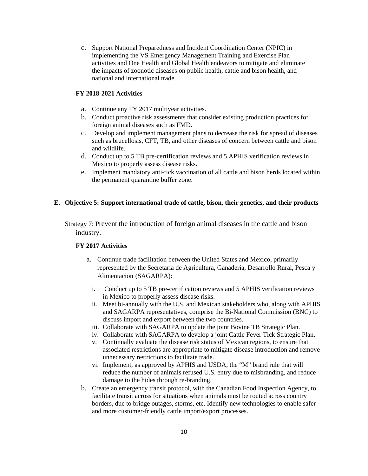c. Support National Preparedness and Incident Coordination Center (NPIC) in implementing the VS Emergency Management Training and Exercise Plan activities and One Health and Global Health endeavors to mitigate and eliminate the impacts of zoonotic diseases on public health, cattle and bison health, and national and international trade.

# **FY 2018-2021 Activities**

- a. Continue any FY 2017 multiyear activities.
- b. Conduct proactive risk assessments that consider existing production practices for foreign animal diseases such as FMD.
- c. Develop and implement management plans to decrease the risk for spread of diseases such as brucellosis, CFT, TB, and other diseases of concern between cattle and bison and wildlife.
- d. Conduct up to 5 TB pre-certification reviews and 5 APHIS verification reviews in Mexico to properly assess disease risks.
- e. Implement mandatory anti-tick vaccination of all cattle and bison herds located within the permanent quarantine buffer zone.

# **E. Objective 5: Support international trade of cattle, bison, their genetics, and their products**

Strategy 7: Prevent the introduction of foreign animal diseases in the cattle and bison industry.

# **FY 2017 Activities**

- a. Continue trade facilitation between the United States and Mexico, primarily represented by the Secretaria de Agricultura, Ganaderia, Desarrollo Rural, Pesca y Alimentacion (SAGARPA):
	- i. Conduct up to 5 TB pre-certification reviews and 5 APHIS verification reviews in Mexico to properly assess disease risks.
	- ii. Meet bi-annually with the U.S. and Mexican stakeholders who, along with APHIS and SAGARPA representatives, comprise the Bi-National Commission (BNC) to discuss import and export between the two countries.
	- iii. Collaborate with SAGARPA to update the joint Bovine TB Strategic Plan.
	- iv. Collaborate with SAGARPA to develop a joint Cattle Fever Tick Strategic Plan.
	- v. Continually evaluate the disease risk status of Mexican regions, to ensure that associated restrictions are appropriate to mitigate disease introduction and remove unnecessary restrictions to facilitate trade.
	- vi. Implement, as approved by APHIS and USDA, the "M" brand rule that will reduce the number of animals refused U.S. entry due to misbranding, and reduce damage to the hides through re-branding.
- b. Create an emergency transit protocol, with the Canadian Food Inspection Agency, to facilitate transit across for situations when animals must be routed across country borders, due to bridge outages, storms, etc. Identify new technologies to enable safer and more customer-friendly cattle import/export processes.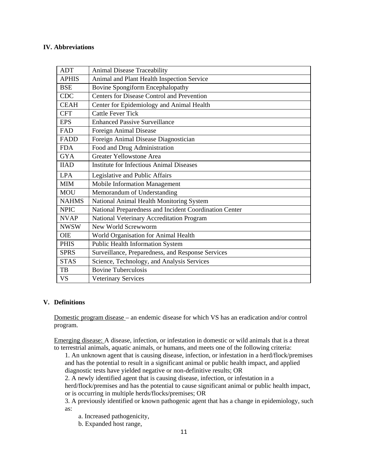## **IV. Abbreviations**

| <b>ADT</b>   | <b>Animal Disease Traceability</b>                     |
|--------------|--------------------------------------------------------|
| <b>APHIS</b> | Animal and Plant Health Inspection Service             |
| <b>BSE</b>   | <b>Bovine Spongiform Encephalopathy</b>                |
| <b>CDC</b>   | <b>Centers for Disease Control and Prevention</b>      |
| <b>CEAH</b>  | Center for Epidemiology and Animal Health              |
| <b>CFT</b>   | <b>Cattle Fever Tick</b>                               |
| <b>EPS</b>   | <b>Enhanced Passive Surveillance</b>                   |
| FAD          | Foreign Animal Disease                                 |
| FADD         | Foreign Animal Disease Diagnostician                   |
| <b>FDA</b>   | Food and Drug Administration                           |
| <b>GYA</b>   | <b>Greater Yellowstone Area</b>                        |
| <b>IIAD</b>  | <b>Institute for Infectious Animal Diseases</b>        |
| <b>LPA</b>   | Legislative and Public Affairs                         |
| <b>MIM</b>   | Mobile Information Management                          |
| <b>MOU</b>   | Memorandum of Understanding                            |
| <b>NAHMS</b> | National Animal Health Monitoring System               |
| <b>NPIC</b>  | National Preparedness and Incident Coordination Center |
| <b>NVAP</b>  | National Veterinary Accreditation Program              |
| <b>NWSW</b>  | New World Screwworm                                    |
| <b>OIE</b>   | World Organisation for Animal Health                   |
| <b>PHIS</b>  | <b>Public Health Information System</b>                |
| <b>SPRS</b>  | Surveillance, Preparedness, and Response Services      |
| <b>STAS</b>  | Science, Technology, and Analysis Services             |
| TB           | <b>Bovine Tuberculosis</b>                             |
| <b>VS</b>    | <b>Veterinary Services</b>                             |

# **V. Definitions**

Domestic program disease – an endemic disease for which VS has an eradication and/or control program.

Emerging disease: A disease, infection, or infestation in domestic or wild animals that is a threat to terrestrial animals, aquatic animals, or humans, and meets one of the following criteria:

1. An unknown agent that is causing disease, infection, or infestation in a herd/flock/premises and has the potential to result in a significant animal or public health impact, and applied diagnostic tests have yielded negative or non-definitive results; OR

2. A newly identified agent that is causing disease, infection, or infestation in a

herd/flock/premises and has the potential to cause significant animal or public health impact, or is occurring in multiple herds/flocks/premises; OR

3. A previously identified or known pathogenic agent that has a change in epidemiology, such as:

a. Increased pathogenicity,

b. Expanded host range,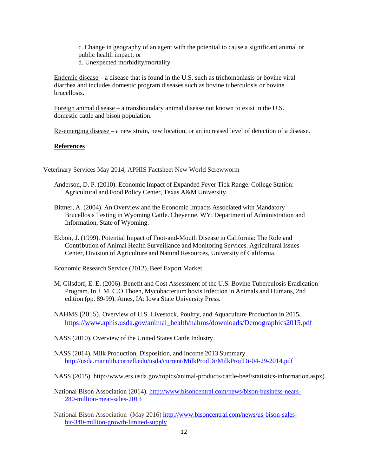c. Change in geography of an agent with the potential to cause a significant animal or public health impact, or d. Unexpected morbidity/mortality

Endemic disease – a disease that is found in the U.S. such as trichomoniasis or bovine viral diarrhea and includes domestic program diseases such as bovine tuberculosis or bovine brucellosis.

Foreign animal disease – a transboundary animal disease not known to exist in the U.S. domestic cattle and bison population.

Re-emerging disease – a new strain, new location, or an increased level of detection of a disease.

#### **References**

Veterinary Services May 2014, APHIS Factsheet New World Screwworm

- Anderson, D. P. (2010). Economic Impact of Expanded Fever Tick Range. College Station: Agricultural and Food Policy Center, Texas A&M University.
- Bittner, A. (2004). An Overview and the Economic Impacts Associated with Mandatory Brucellosis Testing in Wyoming Cattle. Cheyenne, WY: Department of Administration and Information, State of Wyoming.
- Ekboir, J. (1999). Potential Impact of Foot-and-Mouth Disease in California: The Role and Contribution of Animal Health Surveillance and Monitoring Services. Agricultural Issues Center, Division of Agriculture and Natural Resources, University of California.

Economic Research Service (2012). Beef Export Market.

M. Gilsdorf, E. E. (2006). Benefit and Cost Assessment of the U.S. Bovine Tuberculosis Eradication Program. In J. M. C.O.Thoen, Mycobacterium bovis Infection in Animals and Humans, 2nd edition (pp. 89-99). Ames, IA: Iowa State University Press.

NAHMS (2015). Overview of U.S. Livestock, Poultry, and Aquaculture Production in 2015**.** https://www.aphis.usda.gov/animal\_health/nahms/downloads/Demographics2015.pdf

- NASS (2010). Overview of the United States Cattle Industry.
- NASS (2014). Milk Production, Disposition, and Income 2013 Summary. http://usda.mannlib.cornell.edu/usda/current/MilkProdDi/MilkProdDi-04-29-2014.pdf
- NASS (2015). http://www.ers.usda.gov/topics/animal-products/cattle-beef/statistics-information.aspx)
- National Bison Association (2014). http://www.bisoncentral.com/news/bison-business-nears-280-million-meat-sales-2013
- National Bison Association (May 2016) http://www.bisoncentral.com/news/us-bison-saleshit-340-million-growth-limited-supply